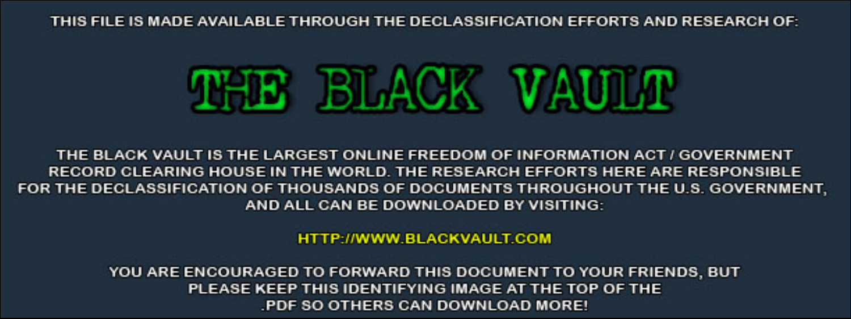THIS FILE IS MADE AVAILABLE THROUGH THE DECLASSIFICATION EFFORTS AND RESEARCH OF:



THE BLACK VAULT IS THE LARGEST ONLINE FREEDOM OF INFORMATION ACT / GOVERNMENT RECORD CLEARING HOUSE IN THE WORLD. THE RESEARCH EFFORTS HERE ARE RESPONSIBLE FOR THE DECLASSIFICATION OF THOUSANDS OF DOCUMENTS THROUGHOUT THE U.S. GOVERNMENT, AND ALL CAN BE DOWNLOADED BY VISITING:

**HTTP://WWW.BLACKVAULT.COM** 

YOU ARE ENCOURAGED TO FORWARD THIS DOCUMENT TO YOUR FRIENDS, BUT PLEASE KEEP THIS IDENTIFYING IMAGE AT THE TOP OF THE PDF SO OTHERS CAN DOWNLOAD MORE!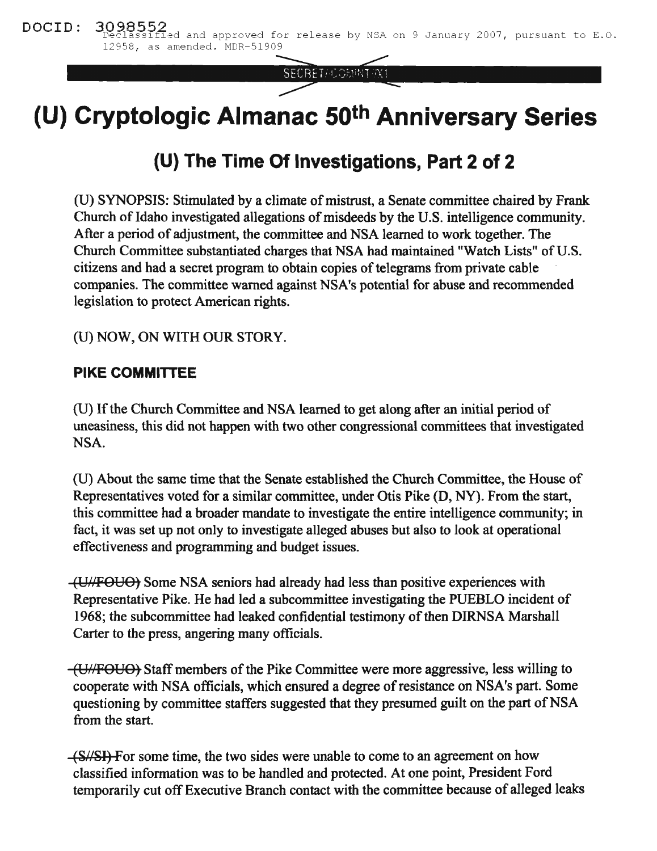SECRET/COMMITYX1

# **(U) Cryptologic Almanac 50th Anniversary Series**

# **(U) The Time Of Investigations, Part 2 of 2**

(U) SYNOPSIS: Stimulated by a climate of mistrust, a Senate committee chaired by Frank Church of Idaho investigated allegations of misdeeds by the U.S. intelligence community. After a period of adjustment, the committee and NSA learned to work together. The Church Committee substantiated charges that NSA had maintained "Watch Lists" of U.S. citizens and had a secret program to obtain copies of telegrams from private cable companies. The committee warned against NSA's potential for abuse and recommended legislation to protect American rights.

(U) NOW, ON WITH OUR STORY.

## **PIKE COMMITTEE**

(U) If the Church Committee and NSA learned to get along after an initial period of uneasiness, this did not happen with two other congressional committees that investigated NSA.

(U) About the same time that the Senate established the Church Committee, the House of Representatives voted for a similar committee, under Otis Pike (D, NY). From the start, this committee had a broader mandate to investigate the entire intelligence community; in fact, it was set up not only to investigate alleged abuses but also to look at operational effectiveness and programming and budget issues.

(VI/FOUO) Some NSA seniors had already had less than positive experiences with Representative Pike. He had led a subcommittee investigating the PUEBLO incident of 1968; the subcommittee had leaked confidential testimony of then DIRNSA Marshall Carter to the press, angering many officials.

(U//FOUO) Staff members of the Pike Committee were more aggressive, less willing to cooperate with NSA officials, which ensured a degree ofresistance on NSA's part. Some questioning by committee staffers suggested that they presumed guilt on the part of NSA from the start.

 $-\frac{S}{\sqrt{S}}$ . For some time, the two sides were unable to come to an agreement on how classified information was to be handled and protected. At one point, President Ford temporarily cut off Executive Branch contact with the committee because of alleged leaks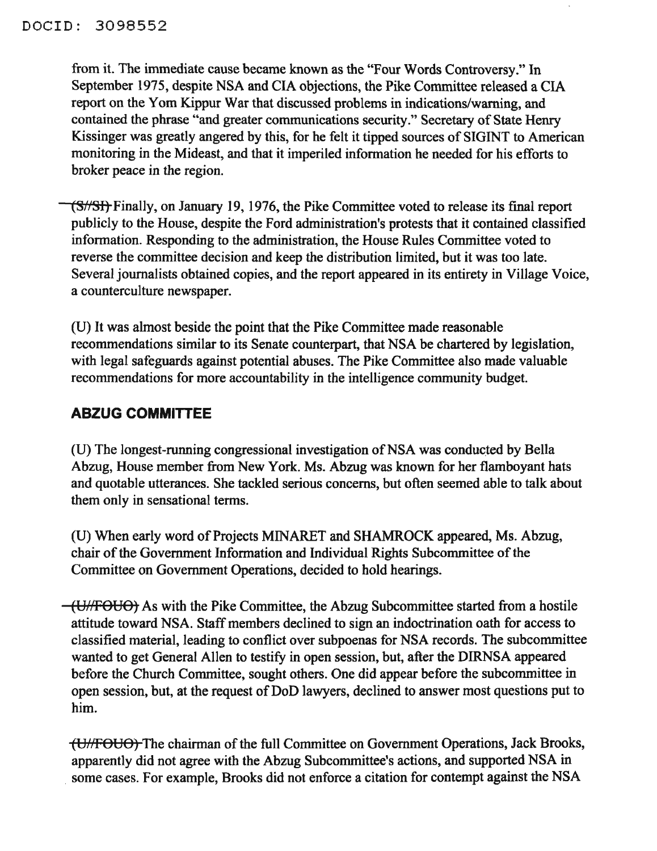from it. The immediate cause became known as the "Four Words Controversy." In September 1975, despite NSA and CIA objections, the Pike Committee released a CIA report on the Yom Kippur War that discussed problems in indications/warning, and contained the phrase "and greater communications security." Secretary of State Henry Kissinger was greatly angered by this, for he felt it tipped sources of SIGINT to American monitoring in the Mideast, and that it imperiled information he needed for his efforts to broker peace in the region.

(S//SI) Finally, on January 19, 1976, the Pike Committee voted to release its final report publicly to the House, despite the Ford administration's protests that it contained classified information. Responding to the administration, the House Rules Committee voted to reverse the committee decision and keep the distribution limited, but it was too late. Several journalists obtained copies, and the report appeared in its entirety in Village Voice, a counterculture newspaper.

(U) It was almost beside the point that the Pike Committee made reasonable recommendations similar to its Senate counterpart, that NSA be chartered by legislation, with legal safeguards against potential abuses. The Pike Committee also made valuable recommendations for more accountability in the intelligence community budget.

## **ABZUG COMMITTEE**

(U) The longest-running congressional investigation of NSA was conducted by Bella Abzug, House member from New York. Ms. Abzug was known for her flamboyant hats and quotable utterances. She tackled serious concerns, but often seemed able to talk about them only in sensational terms.

(U) When early word of Projects MINARET and SHAMROCK appeared, Ms. Abzug, chair of the Government Information and Individual Rights Subcommittee of the Committee on Government Operations, decided to hold hearings.

(U/FOUO) As with the Pike Committee, the Abzug Subcommittee started from a hostile attitude toward NSA. Staff members declined to sign an indoctrination oath for access to classified material, leading to conflict over subpoenas for NSA records. The subcommittee wanted to get General Allen to testify in open session, but, after the DIRNSA appeared before the Church Committee, sought others. One did appear before the subcommittee in open session, but, at the request of DoD lawyers, declined to answer most questions put to him.

(UHFOUO) The chairman of the full Committee on Government Operations, Jack Brooks, apparently did not agree with the Abzug Subcommittee's actions, and supported NSA in some cases. For example, Brooks did not enforce a citation for contempt against the NSA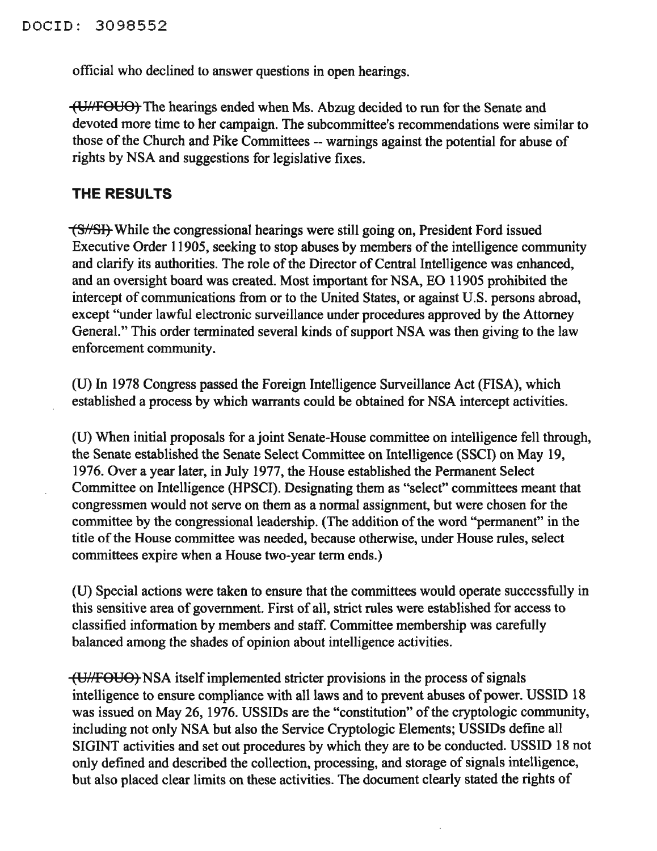official who declined to answer questions in open hearings.

(UHFOUO) The hearings ended when Ms. Abzug decided to run for the Senate and devoted more time to her campaign. The subcommittee's recommendations were similar to those of the Church and Pike Committees -- warnings against the potential for abuse of rights by NSA and suggestions for legislative fixes.

#### **THE RESULTS**

**(S//SI)**-While the congressional hearings were still going on, President Ford issued Executive Order 11905, seeking to stop abuses by members of the intelligence community and clarify its authorities. The role of the Director of Central Intelligence was enhanced, and an oversight board was created. Most important for NSA, EO 11905 prohibited the intercept of communications from or to the United States, or against U.S. persons abroad, except "under lawful electronic surveillance under procedures approved by the Attorney General." This order terminated several kinds of support NSA was then giving to the law enforcement community.

(U) In 1978 Congress passed the Foreign Intelligence Surveillance Act (FISA), which established a process by which warrants could be obtained for NSA intercept activities.

(U) When initial proposals for a joint Senate-House committee on intelligence fell through, the Senate established the Senate Select Committee on Intelligence (SSCI) on May 19, 1976. Over a year later, in July 1977, the House established the Permanent Select Committee on Intelligence (HPSCI). Designating them as "select" committees meant that congressmen would not serve on them as a normal assignment, but were chosen for the committee by the congressional leadership. (The addition of the word "permanent" in the title of the House committee was needed, because otherwise, under House rules, select committees expire when a House two-year term ends.)

(U) Special actions were taken to ensure that the committees would operate successfully in this sensitive area of government. First of all, strict rules were established for access to classified information by members and staff. Committee membership was carefully balanced among the shades of opinion about intelligence activities.

(U/FOUO) NSA itself implemented stricter provisions in the process of signals intelligence to ensure compliance with all laws and to prevent abuses of power. USSID 18 was issued on May 26, 1976. USSIDs are the "constitution" of the cryptologic community, including not only NSA but also the Service Cryptologic Elements; USSIDs define all SIGINT activities and set out procedures by which they are to be conducted. USSID 18 not only defined and described the collection, processing, and storage of signals intelligence, but also placed clear limits on these activities. The document clearly stated the rights of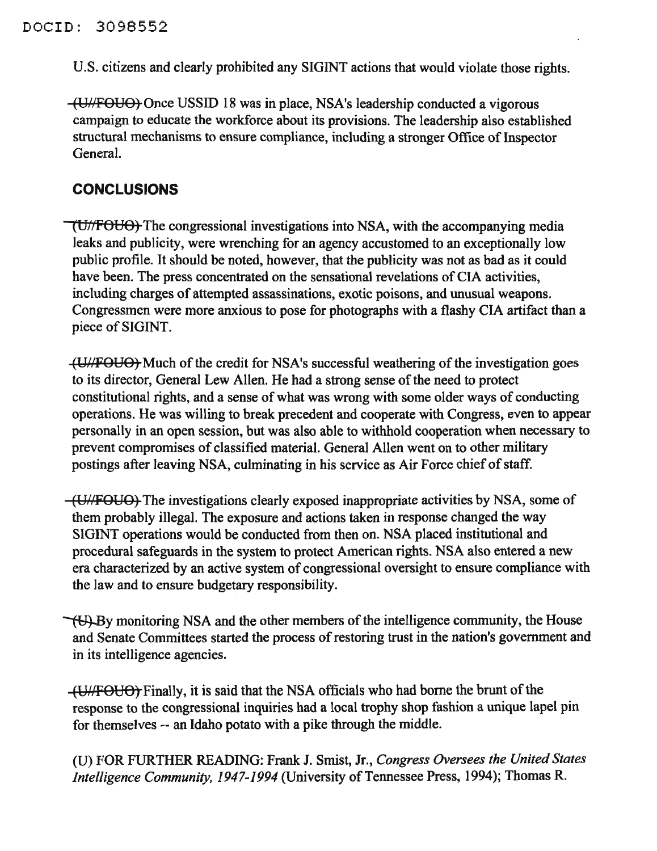U.S. citizens and clearly prohibited any SIGINT actions that would violate those rights.

(Uh'FOUO) Once USSID 18 was in place, NSA's leadership conducted a vigorous campaign to educate the workforce about its provisions. The leadership also established structural mechanisms to ensure compliance, including a stronger Office of Inspector General.

#### **CONCLUSIONS**

 $\overline{\text{U}}$ //FOUO) The congressional investigations into NSA, with the accompanying media leaks and publicity, were wrenching for an agency accustomed to an exceptionally low public profile. It should be noted, however, that the publicity was not as bad as it could have been. The press concentrated on the sensational revelations of CIA activities, including charges of attempted assassinations, exotic poisons, and unusual weapons. Congressmen were more anxious to pose for photographs with a flashy CIA artifact than a piece of SIGINT.

(U//FOUO) Much of the credit for NSA's successful weathering of the investigation goes to its director, General Lew Allen. He had a strong sense of the need to protect constitutional rights, and a sense of what was wrong with some older ways of conducting operations. He was willing to break precedent and cooperate with Congress, even to appear personally in an open session, but was also able to withhold cooperation when necessary to prevent compromises of classified material. General Allen went on to other military postings after leaving NSA, culminating in his service as Air Force chief of staff.

(Ultipour) The investigations clearly exposed inappropriate activities by NSA, some of them probably illegal. The exposure and actions taken in response changed the way SIGINT operations would be conducted from then on. NSA placed institutional and procedural safeguards in the system to protect American rights. NSA also entered a new era characterized by an active system of congressional oversight to ensure compliance with the law and to ensure budgetary responsibility.

 $\forall$ U. By monitoring NSA and the other members of the intelligence community, the House and Senate Committees started the process of restoring trust in the nation's government and in its intelligence agencies.

(U) Finally, it is said that the NSA officials who had borne the brunt of the response to the congressional inquiries had a local trophy shop fashion a unique lapel pin for themselves -- an Idaho potato with a pike through the middle.

(U) FOR FURTHER READING: Frank 1. Smist, Jr., *Congress Oversees the United States Intelligence Community, 1947-1994* (University of Tennessee Press, 1994); Thomas R.